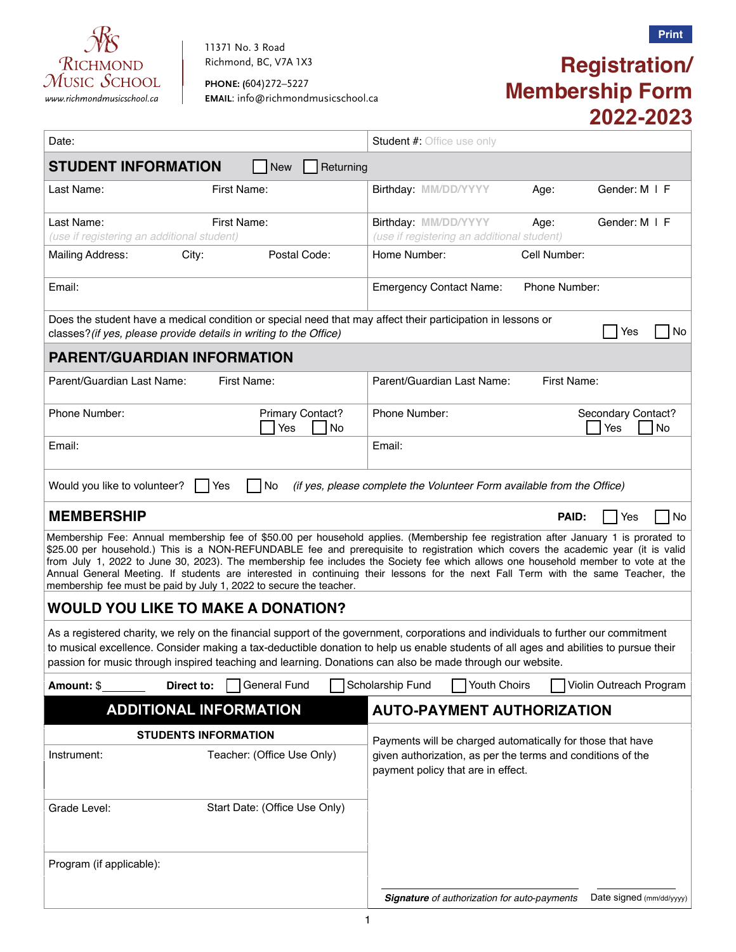

11371 No. 3 Road Richmond, BC, V7A 1X3

**PHONE: (**604)272–5227 *www.richmondmusicschool.ca* **EMAIL**: info@richmondmusicschool.ca

# **Registration/ Membership Form 2022-2023**

| Date:                                                                                                                                                                                                                                                                                                                                                                                                                                                                                                                                                                                                                   | <b>Student #: Office use only</b>                                                                 |
|-------------------------------------------------------------------------------------------------------------------------------------------------------------------------------------------------------------------------------------------------------------------------------------------------------------------------------------------------------------------------------------------------------------------------------------------------------------------------------------------------------------------------------------------------------------------------------------------------------------------------|---------------------------------------------------------------------------------------------------|
| <b>STUDENT INFORMATION</b><br>Returning<br><b>New</b>                                                                                                                                                                                                                                                                                                                                                                                                                                                                                                                                                                   |                                                                                                   |
| Last Name:<br>First Name:                                                                                                                                                                                                                                                                                                                                                                                                                                                                                                                                                                                               | Birthday: MM/DD/YYYY<br>Gender: M I F<br>Age:                                                     |
| Last Name:<br>First Name:<br>(use if registering an additional student)                                                                                                                                                                                                                                                                                                                                                                                                                                                                                                                                                 | Birthday: MM/DD/YYYY<br>Gender: M   F<br>Age:<br>(use if registering an additional student)       |
| Postal Code:<br><b>Mailing Address:</b><br>City:                                                                                                                                                                                                                                                                                                                                                                                                                                                                                                                                                                        | Home Number:<br>Cell Number:                                                                      |
| Email:                                                                                                                                                                                                                                                                                                                                                                                                                                                                                                                                                                                                                  | <b>Emergency Contact Name:</b><br>Phone Number:                                                   |
| Does the student have a medical condition or special need that may affect their participation in lessons or<br>No<br>Yes<br>classes? (if yes, please provide details in writing to the Office)                                                                                                                                                                                                                                                                                                                                                                                                                          |                                                                                                   |
| <b>PARENT/GUARDIAN INFORMATION</b>                                                                                                                                                                                                                                                                                                                                                                                                                                                                                                                                                                                      |                                                                                                   |
| Parent/Guardian Last Name:<br>First Name:                                                                                                                                                                                                                                                                                                                                                                                                                                                                                                                                                                               | Parent/Guardian Last Name:<br>First Name:                                                         |
| Phone Number:<br>Primary Contact?<br>Yes<br>No                                                                                                                                                                                                                                                                                                                                                                                                                                                                                                                                                                          | Phone Number:<br>Secondary Contact?<br>Yes<br>No                                                  |
| Email:                                                                                                                                                                                                                                                                                                                                                                                                                                                                                                                                                                                                                  | Email:                                                                                            |
| No<br>(if yes, please complete the Volunteer Form available from the Office)<br>Would you like to volunteer?<br>Yes                                                                                                                                                                                                                                                                                                                                                                                                                                                                                                     |                                                                                                   |
| <b>MEMBERSHIP</b>                                                                                                                                                                                                                                                                                                                                                                                                                                                                                                                                                                                                       | PAID:<br>Yes<br>No                                                                                |
| Membership Fee: Annual membership fee of \$50.00 per household applies. (Membership fee registration after January 1 is prorated to<br>\$25.00 per household.) This is a NON-REFUNDABLE fee and prerequisite to registration which covers the academic year (it is valid<br>from July 1, 2022 to June 30, 2023). The membership fee includes the Society fee which allows one household member to vote at the<br>Annual General Meeting. If students are interested in continuing their lessons for the next Fall Term with the same Teacher, the<br>membership fee must be paid by July 1, 2022 to secure the teacher. |                                                                                                   |
| <b>WOULD YOU LIKE TO MAKE A DONATION?</b>                                                                                                                                                                                                                                                                                                                                                                                                                                                                                                                                                                               |                                                                                                   |
| As a registered charity, we rely on the financial support of the government, corporations and individuals to further our commitment<br>to musical excellence. Consider making a tax-deductible donation to help us enable students of all ages and abilities to pursue their<br>passion for music through inspired teaching and learning. Donations can also be made through our website.                                                                                                                                                                                                                               |                                                                                                   |
| Direct to:<br>General Fund<br>Amount: \$                                                                                                                                                                                                                                                                                                                                                                                                                                                                                                                                                                                | Scholarship Fund<br>Youth Choirs<br>Violin Outreach Program                                       |
| <b>ADDITIONAL INFORMATION</b>                                                                                                                                                                                                                                                                                                                                                                                                                                                                                                                                                                                           | <b>AUTO-PAYMENT AUTHORIZATION</b>                                                                 |
| <b>STUDENTS INFORMATION</b>                                                                                                                                                                                                                                                                                                                                                                                                                                                                                                                                                                                             | Payments will be charged automatically for those that have                                        |
| Instrument:<br>Teacher: (Office Use Only)                                                                                                                                                                                                                                                                                                                                                                                                                                                                                                                                                                               | given authorization, as per the terms and conditions of the<br>payment policy that are in effect. |
| Grade Level:<br>Start Date: (Office Use Only)                                                                                                                                                                                                                                                                                                                                                                                                                                                                                                                                                                           |                                                                                                   |
| Program (if applicable):                                                                                                                                                                                                                                                                                                                                                                                                                                                                                                                                                                                                |                                                                                                   |
|                                                                                                                                                                                                                                                                                                                                                                                                                                                                                                                                                                                                                         | Signature of authorization for auto-payments<br>Date signed (mm/dd/yyyy)                          |